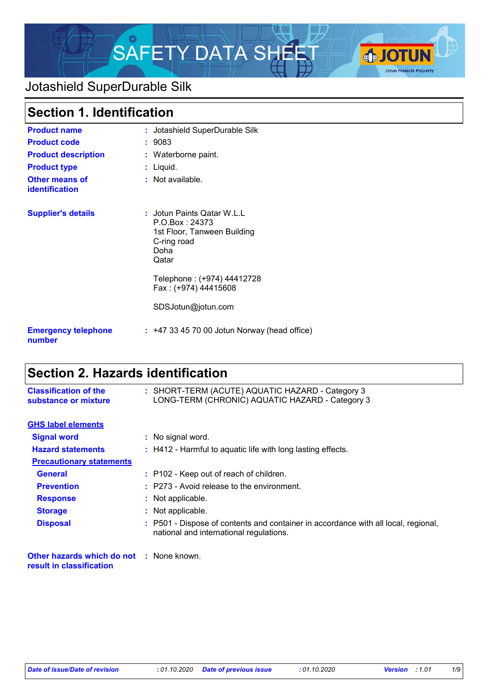

# Jotashield SuperDurable Silk

|                                         | Section 1. Identification                                                                                   |  |
|-----------------------------------------|-------------------------------------------------------------------------------------------------------------|--|
| <b>Product name</b>                     | : Jotashield SuperDurable Silk                                                                              |  |
| <b>Product code</b>                     | : 9083                                                                                                      |  |
| <b>Product description</b>              | : Waterborne paint.                                                                                         |  |
| <b>Product type</b>                     | : Liquid.                                                                                                   |  |
| <b>Other means of</b><br>identification | : Not available.                                                                                            |  |
| <b>Supplier's details</b>               | : Jotun Paints Qatar W.L.L<br>P.O.Box: 24373<br>1st Floor, Tanween Building<br>C-ring road<br>Doha<br>Qatar |  |
|                                         | Telephone: (+974) 44412728<br>Fax: (+974) 44415608                                                          |  |
|                                         | SDSJotun@jotun.com                                                                                          |  |
| <b>Emergency telephone</b><br>number    | $: +4733457000$ Jotun Norway (head office)                                                                  |  |

# **Section 2. Hazards identification**

| : SHORT-TERM (ACUTE) AQUATIC HAZARD - Category 3<br>LONG-TERM (CHRONIC) AQUATIC HAZARD - Category 3                           |
|-------------------------------------------------------------------------------------------------------------------------------|
|                                                                                                                               |
| : No signal word.                                                                                                             |
| : H412 - Harmful to aquatic life with long lasting effects.                                                                   |
|                                                                                                                               |
| : P102 - Keep out of reach of children.                                                                                       |
| $:$ P273 - Avoid release to the environment.                                                                                  |
| : Not applicable.                                                                                                             |
| : Not applicable.                                                                                                             |
| : P501 - Dispose of contents and container in accordance with all local, regional,<br>national and international regulations. |
|                                                                                                                               |

**Other hazards which do not :** None known. **result in classification**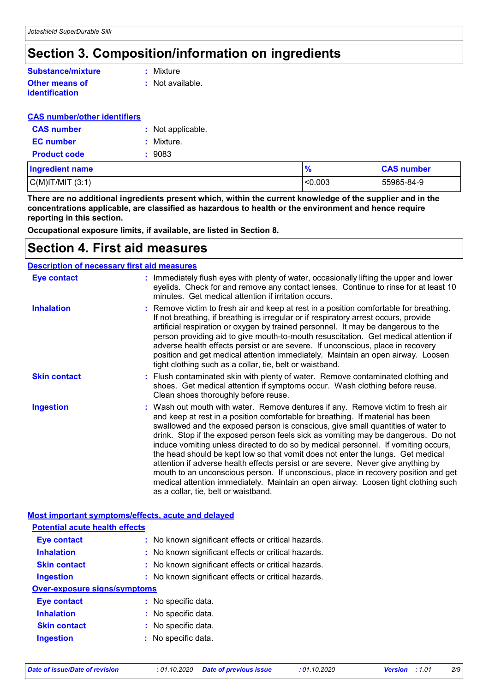## **Section 3. Composition/information on ingredients**

### **Other means of Substance/mixture**

**identification**

**:** Mixture

**:** Not available.

## **CAS number/other identifiers**

| <b>CAS number</b>   | : Not applicable. |
|---------------------|-------------------|
| <b>EC</b> number    | : Mixture.        |
| <b>Product code</b> | : 9083            |

| <b>Ingredient name</b> | $\frac{1}{2}$ | <b>CAS number</b> |
|------------------------|---------------|-------------------|
| $C(M)$ IT/MIT $(3:1)$  | < 0.003       | 55965-84-9        |

**There are no additional ingredients present which, within the current knowledge of the supplier and in the concentrations applicable, are classified as hazardous to health or the environment and hence require reporting in this section.**

**Occupational exposure limits, if available, are listed in Section 8.**

## **Section 4. First aid measures**

#### **Description of necessary first aid measures**

| <b>Eye contact</b>  | : Immediately flush eyes with plenty of water, occasionally lifting the upper and lower<br>eyelids. Check for and remove any contact lenses. Continue to rinse for at least 10<br>minutes. Get medical attention if irritation occurs.                                                                                                                                                                                                                                                                                                                                                                                                                                                                                                                                                                                       |
|---------------------|------------------------------------------------------------------------------------------------------------------------------------------------------------------------------------------------------------------------------------------------------------------------------------------------------------------------------------------------------------------------------------------------------------------------------------------------------------------------------------------------------------------------------------------------------------------------------------------------------------------------------------------------------------------------------------------------------------------------------------------------------------------------------------------------------------------------------|
| <b>Inhalation</b>   | : Remove victim to fresh air and keep at rest in a position comfortable for breathing.<br>If not breathing, if breathing is irregular or if respiratory arrest occurs, provide<br>artificial respiration or oxygen by trained personnel. It may be dangerous to the<br>person providing aid to give mouth-to-mouth resuscitation. Get medical attention if<br>adverse health effects persist or are severe. If unconscious, place in recovery<br>position and get medical attention immediately. Maintain an open airway. Loosen<br>tight clothing such as a collar, tie, belt or waistband.                                                                                                                                                                                                                                 |
| <b>Skin contact</b> | : Flush contaminated skin with plenty of water. Remove contaminated clothing and<br>shoes. Get medical attention if symptoms occur. Wash clothing before reuse.<br>Clean shoes thoroughly before reuse.                                                                                                                                                                                                                                                                                                                                                                                                                                                                                                                                                                                                                      |
| <b>Ingestion</b>    | : Wash out mouth with water. Remove dentures if any. Remove victim to fresh air<br>and keep at rest in a position comfortable for breathing. If material has been<br>swallowed and the exposed person is conscious, give small quantities of water to<br>drink. Stop if the exposed person feels sick as vomiting may be dangerous. Do not<br>induce vomiting unless directed to do so by medical personnel. If vomiting occurs,<br>the head should be kept low so that vomit does not enter the lungs. Get medical<br>attention if adverse health effects persist or are severe. Never give anything by<br>mouth to an unconscious person. If unconscious, place in recovery position and get<br>medical attention immediately. Maintain an open airway. Loosen tight clothing such<br>as a collar, tie, belt or waistband. |

#### **Most important symptoms/effects, acute and delayed**

| <b>Potential acute health effects</b> |                                                     |
|---------------------------------------|-----------------------------------------------------|
| <b>Eye contact</b>                    | : No known significant effects or critical hazards. |
| <b>Inhalation</b>                     | : No known significant effects or critical hazards. |
| <b>Skin contact</b>                   | : No known significant effects or critical hazards. |
| <b>Ingestion</b>                      | : No known significant effects or critical hazards. |
| Over-exposure signs/symptoms          |                                                     |
| Eye contact                           | : No specific data.                                 |
| <b>Inhalation</b>                     | : No specific data.                                 |
| <b>Skin contact</b>                   | : No specific data.                                 |
| <b>Ingestion</b>                      | : No specific data.                                 |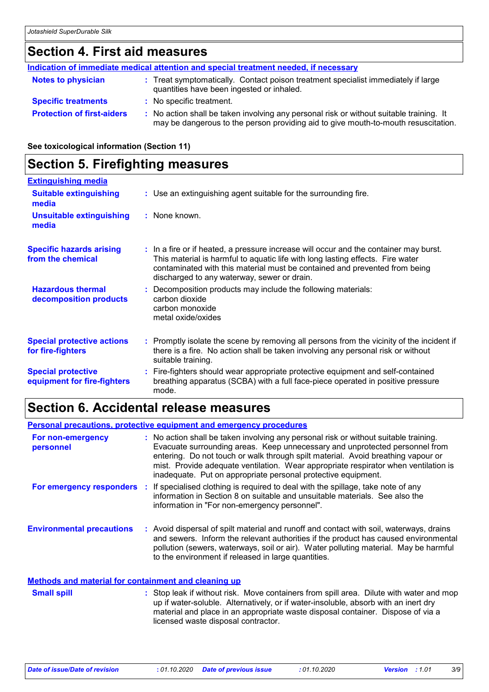## **Section 4. First aid measures**

|                                   | Indication of immediate medical attention and special treatment needed, if necessary                                                                                          |
|-----------------------------------|-------------------------------------------------------------------------------------------------------------------------------------------------------------------------------|
| <b>Notes to physician</b>         | : Treat symptomatically. Contact poison treatment specialist immediately if large<br>quantities have been ingested or inhaled.                                                |
| <b>Specific treatments</b>        | : No specific treatment.                                                                                                                                                      |
| <b>Protection of first-aiders</b> | : No action shall be taken involving any personal risk or without suitable training. It<br>may be dangerous to the person providing aid to give mouth-to-mouth resuscitation. |

**See toxicological information (Section 11)**

## **Section 5. Firefighting measures**

| <b>Extinguishing media</b>                               |                                                                                                                                                                                                                                                                                                      |
|----------------------------------------------------------|------------------------------------------------------------------------------------------------------------------------------------------------------------------------------------------------------------------------------------------------------------------------------------------------------|
| <b>Suitable extinguishing</b><br>media                   | : Use an extinguishing agent suitable for the surrounding fire.                                                                                                                                                                                                                                      |
| <b>Unsuitable extinguishing</b><br>media                 | : None known.                                                                                                                                                                                                                                                                                        |
| <b>Specific hazards arising</b><br>from the chemical     | : In a fire or if heated, a pressure increase will occur and the container may burst.<br>This material is harmful to aquatic life with long lasting effects. Fire water<br>contaminated with this material must be contained and prevented from being<br>discharged to any waterway, sewer or drain. |
| <b>Hazardous thermal</b><br>decomposition products       | : Decomposition products may include the following materials:<br>carbon dioxide<br>carbon monoxide<br>metal oxide/oxides                                                                                                                                                                             |
| <b>Special protective actions</b><br>for fire-fighters   | : Promptly isolate the scene by removing all persons from the vicinity of the incident if<br>there is a fire. No action shall be taken involving any personal risk or without<br>suitable training.                                                                                                  |
| <b>Special protective</b><br>equipment for fire-fighters | : Fire-fighters should wear appropriate protective equipment and self-contained<br>breathing apparatus (SCBA) with a full face-piece operated in positive pressure<br>mode.                                                                                                                          |

## **Section 6. Accidental release measures**

#### **Environmental precautions Personal precautions, protective equipment and emergency procedures :** Avoid dispersal of spilt material and runoff and contact with soil, waterways, drains **:** No action shall be taken involving any personal risk or without suitable training. Evacuate surrounding areas. Keep unnecessary and unprotected personnel from entering. Do not touch or walk through spilt material. Avoid breathing vapour or mist. Provide adequate ventilation. Wear appropriate respirator when ventilation is inadequate. Put on appropriate personal protective equipment. and sewers. Inform the relevant authorities if the product has caused environmental pollution (sewers, waterways, soil or air). Water polluting material. May be harmful to the environment if released in large quantities. **For non-emergency personnel For emergency responders** : If specialised clothing is required to deal with the spillage, take note of any information in Section 8 on suitable and unsuitable materials. See also the information in "For non-emergency personnel".

#### **Methods and material for containment and cleaning up**

Stop leak if without risk. Move containers from spill area. Dilute with water and mop up if water-soluble. Alternatively, or if water-insoluble, absorb with an inert dry material and place in an appropriate waste disposal container. Dispose of via a licensed waste disposal contractor. **Small spill :**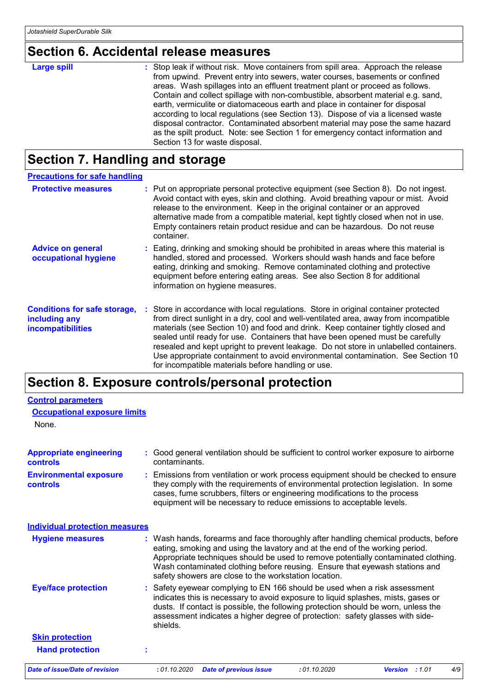# **Section 6. Accidental release measures**

| <b>Large spill</b> | : Stop leak if without risk. Move containers from spill area. Approach the release |
|--------------------|------------------------------------------------------------------------------------|
|                    | from upwind. Prevent entry into sewers, water courses, basements or confined       |
|                    | areas. Wash spillages into an effluent treatment plant or proceed as follows.      |
|                    | Contain and collect spillage with non-combustible, absorbent material e.g. sand,   |
|                    | earth, vermiculite or diatomaceous earth and place in container for disposal       |
|                    | according to local regulations (see Section 13). Dispose of via a licensed waste   |
|                    | disposal contractor. Contaminated absorbent material may pose the same hazard      |
|                    | as the spilt product. Note: see Section 1 for emergency contact information and    |
|                    | Section 13 for waste disposal.                                                     |

# **Section 7. Handling and storage**

| <b>Precautions for safe handling</b>                                             |                                                                                                                                                                                                                                                                                                                                                                                                                                                                                                                                                                                     |
|----------------------------------------------------------------------------------|-------------------------------------------------------------------------------------------------------------------------------------------------------------------------------------------------------------------------------------------------------------------------------------------------------------------------------------------------------------------------------------------------------------------------------------------------------------------------------------------------------------------------------------------------------------------------------------|
| <b>Protective measures</b>                                                       | : Put on appropriate personal protective equipment (see Section 8). Do not ingest.<br>Avoid contact with eyes, skin and clothing. Avoid breathing vapour or mist. Avoid<br>release to the environment. Keep in the original container or an approved<br>alternative made from a compatible material, kept tightly closed when not in use.<br>Empty containers retain product residue and can be hazardous. Do not reuse<br>container.                                                                                                                                               |
| <b>Advice on general</b><br>occupational hygiene                                 | : Eating, drinking and smoking should be prohibited in areas where this material is<br>handled, stored and processed. Workers should wash hands and face before<br>eating, drinking and smoking. Remove contaminated clothing and protective<br>equipment before entering eating areas. See also Section 8 for additional<br>information on hygiene measures.                                                                                                                                                                                                                       |
| <b>Conditions for safe storage,</b><br>including any<br><b>incompatibilities</b> | : Store in accordance with local regulations. Store in original container protected<br>from direct sunlight in a dry, cool and well-ventilated area, away from incompatible<br>materials (see Section 10) and food and drink. Keep container tightly closed and<br>sealed until ready for use. Containers that have been opened must be carefully<br>resealed and kept upright to prevent leakage. Do not store in unlabelled containers.<br>Use appropriate containment to avoid environmental contamination. See Section 10<br>for incompatible materials before handling or use. |

# **Section 8. Exposure controls/personal protection**

| <b>Control parameters</b>                        |                                                                                                                                                                                                                                                                                                                                                                                                   |
|--------------------------------------------------|---------------------------------------------------------------------------------------------------------------------------------------------------------------------------------------------------------------------------------------------------------------------------------------------------------------------------------------------------------------------------------------------------|
| <b>Occupational exposure limits</b>              |                                                                                                                                                                                                                                                                                                                                                                                                   |
| None.                                            |                                                                                                                                                                                                                                                                                                                                                                                                   |
| <b>Appropriate engineering</b><br>controls       | : Good general ventilation should be sufficient to control worker exposure to airborne<br>contaminants.                                                                                                                                                                                                                                                                                           |
| <b>Environmental exposure</b><br><b>controls</b> | : Emissions from ventilation or work process equipment should be checked to ensure<br>they comply with the requirements of environmental protection legislation. In some<br>cases, fume scrubbers, filters or engineering modifications to the process<br>equipment will be necessary to reduce emissions to acceptable levels.                                                                   |
| <b>Individual protection measures</b>            |                                                                                                                                                                                                                                                                                                                                                                                                   |
| <b>Hygiene measures</b>                          | : Wash hands, forearms and face thoroughly after handling chemical products, before<br>eating, smoking and using the lavatory and at the end of the working period.<br>Appropriate techniques should be used to remove potentially contaminated clothing.<br>Wash contaminated clothing before reusing. Ensure that eyewash stations and<br>safety showers are close to the workstation location. |
| <b>Eye/face protection</b>                       | : Safety eyewear complying to EN 166 should be used when a risk assessment<br>indicates this is necessary to avoid exposure to liquid splashes, mists, gases or<br>dusts. If contact is possible, the following protection should be worn, unless the<br>assessment indicates a higher degree of protection: safety glasses with side-<br>shields.                                                |
| <b>Skin protection</b>                           |                                                                                                                                                                                                                                                                                                                                                                                                   |
| <b>Hand protection</b>                           | t                                                                                                                                                                                                                                                                                                                                                                                                 |
| <b>Date of issue/Date of revision</b>            | : 01.10.2020<br>: 01.10.2020<br>4/9<br><b>Date of previous issue</b><br><b>Version</b> : 1.01                                                                                                                                                                                                                                                                                                     |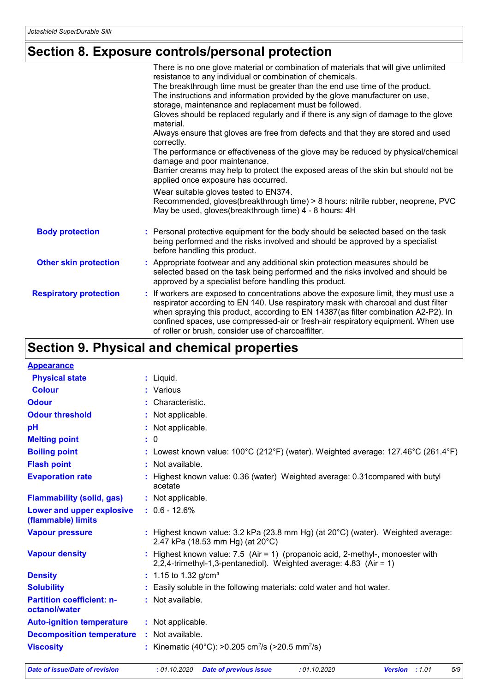# **Section 8. Exposure controls/personal protection**

|                               | There is no one glove material or combination of materials that will give unlimited<br>resistance to any individual or combination of chemicals.<br>The breakthrough time must be greater than the end use time of the product.                                                                                                                                                                             |
|-------------------------------|-------------------------------------------------------------------------------------------------------------------------------------------------------------------------------------------------------------------------------------------------------------------------------------------------------------------------------------------------------------------------------------------------------------|
|                               | The instructions and information provided by the glove manufacturer on use,<br>storage, maintenance and replacement must be followed.                                                                                                                                                                                                                                                                       |
|                               | Gloves should be replaced regularly and if there is any sign of damage to the glove<br>material.                                                                                                                                                                                                                                                                                                            |
|                               | Always ensure that gloves are free from defects and that they are stored and used<br>correctly.                                                                                                                                                                                                                                                                                                             |
|                               | The performance or effectiveness of the glove may be reduced by physical/chemical<br>damage and poor maintenance.                                                                                                                                                                                                                                                                                           |
|                               | Barrier creams may help to protect the exposed areas of the skin but should not be<br>applied once exposure has occurred.                                                                                                                                                                                                                                                                                   |
|                               | Wear suitable gloves tested to EN374.<br>Recommended, gloves(breakthrough time) > 8 hours: nitrile rubber, neoprene, PVC<br>May be used, gloves(breakthrough time) 4 - 8 hours: 4H                                                                                                                                                                                                                          |
| <b>Body protection</b>        | : Personal protective equipment for the body should be selected based on the task<br>being performed and the risks involved and should be approved by a specialist<br>before handling this product.                                                                                                                                                                                                         |
| <b>Other skin protection</b>  | : Appropriate footwear and any additional skin protection measures should be<br>selected based on the task being performed and the risks involved and should be<br>approved by a specialist before handling this product.                                                                                                                                                                                   |
| <b>Respiratory protection</b> | : If workers are exposed to concentrations above the exposure limit, they must use a<br>respirator according to EN 140. Use respiratory mask with charcoal and dust filter<br>when spraying this product, according to EN 14387(as filter combination A2-P2). In<br>confined spaces, use compressed-air or fresh-air respiratory equipment. When use<br>of roller or brush, consider use of charcoalfilter. |

# **Section 9. Physical and chemical properties**

| <b>Appearance</b>                                 |                                                                                                                                                         |
|---------------------------------------------------|---------------------------------------------------------------------------------------------------------------------------------------------------------|
| <b>Physical state</b>                             | $:$ Liquid.                                                                                                                                             |
| <b>Colour</b>                                     | : Various                                                                                                                                               |
| <b>Odour</b>                                      | : Characteristic.                                                                                                                                       |
| <b>Odour threshold</b>                            | : Not applicable.                                                                                                                                       |
| рH                                                | : Not applicable.                                                                                                                                       |
| <b>Melting point</b>                              | : 0                                                                                                                                                     |
| <b>Boiling point</b>                              | : Lowest known value: $100^{\circ}$ C (212°F) (water). Weighted average: 127.46°C (261.4°F)                                                             |
| <b>Flash point</b>                                | : Not available.                                                                                                                                        |
| <b>Evaporation rate</b>                           | : Highest known value: 0.36 (water) Weighted average: 0.31 compared with butyl<br>acetate                                                               |
| <b>Flammability (solid, gas)</b>                  | : Not applicable.                                                                                                                                       |
| Lower and upper explosive<br>(flammable) limits   | $: 0.6 - 12.6%$                                                                                                                                         |
| <b>Vapour pressure</b>                            | : Highest known value: $3.2$ kPa (23.8 mm Hg) (at $20^{\circ}$ C) (water). Weighted average:<br>2.47 kPa (18.53 mm Hg) (at 20°C)                        |
| <b>Vapour density</b>                             | : Highest known value: $7.5$ (Air = 1) (propanoic acid, 2-methyl-, monoester with<br>2,2,4-trimethyl-1,3-pentanediol). Weighted average: 4.83 (Air = 1) |
| <b>Density</b>                                    | : 1.15 to 1.32 $q/cm3$                                                                                                                                  |
| <b>Solubility</b>                                 | : Easily soluble in the following materials: cold water and hot water.                                                                                  |
| <b>Partition coefficient: n-</b><br>octanol/water | : Not available.                                                                                                                                        |
| <b>Auto-ignition temperature</b>                  | : Not applicable.                                                                                                                                       |
| <b>Decomposition temperature</b>                  | : Not available.                                                                                                                                        |
| <b>Viscosity</b>                                  | : Kinematic (40°C): >0.205 cm <sup>2</sup> /s (>20.5 mm <sup>2</sup> /s)                                                                                |

*Date of issue/Date of revision* **:** *01.10.2020 Date of previous issue : 01.10.2020 Version : 1.01 5/9*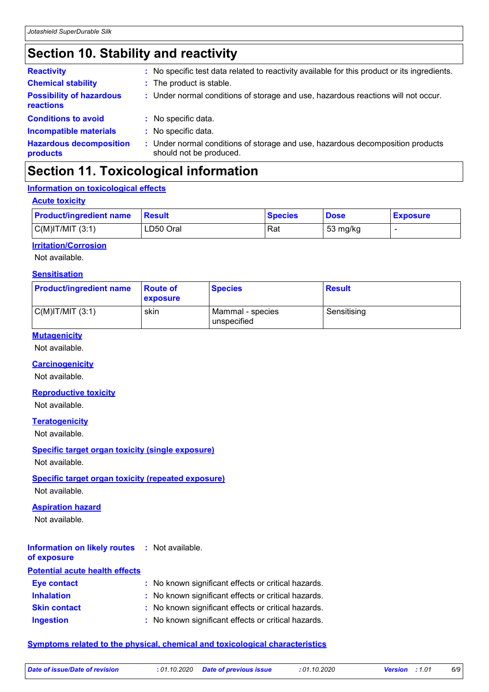# **Section 10. Stability and reactivity**

| <b>Reactivity</b>                            | : No specific test data related to reactivity available for this product or its ingredients.              |
|----------------------------------------------|-----------------------------------------------------------------------------------------------------------|
| <b>Chemical stability</b>                    | : The product is stable.                                                                                  |
| <b>Possibility of hazardous</b><br>reactions | : Under normal conditions of storage and use, hazardous reactions will not occur.                         |
| <b>Conditions to avoid</b>                   | : No specific data.                                                                                       |
| <b>Incompatible materials</b>                | : No specific data.                                                                                       |
| <b>Hazardous decomposition</b><br>products   | : Under normal conditions of storage and use, hazardous decomposition products<br>should not be produced. |

# **Section 11. Toxicological information**

## **Information on toxicological effects**

|  | <b>Acute toxicity</b> |  |  |
|--|-----------------------|--|--|
|  |                       |  |  |

| <b>Product/ingredient name</b> | <b>Besult</b> | <b>Species</b> | <b>Dose</b> | <b>Exposure</b> |
|--------------------------------|---------------|----------------|-------------|-----------------|
| $C(M)$ IT/MIT $(3:1)$          | LD50 Oral     | Rat            | 53 mg/kg    |                 |

### **Irritation/Corrosion**

Not available.

### **Sensitisation**

| <b>Product/ingredient name</b> | <b>Route of</b><br>exposure | <b>Species</b>                  | <b>Result</b> |
|--------------------------------|-----------------------------|---------------------------------|---------------|
| $C(M)$ IT/MIT $(3:1)$          | skin                        | Mammal - species<br>unspecified | Sensitising   |

#### **Mutagenicity**

Not available.

#### **Carcinogenicity**

Not available.

## **Reproductive toxicity**

Not available.

#### **Teratogenicity**

Not available.

## **Specific target organ toxicity (single exposure)**

Not available.

## **Specific target organ toxicity (repeated exposure)**

Not available.

## **Aspiration hazard**

Not available.

#### **Information on likely routes :** Not available. **of exposure**

| <b>Potential acute health effects</b> |                                                     |
|---------------------------------------|-----------------------------------------------------|
| <b>Eye contact</b>                    | : No known significant effects or critical hazards. |
| <b>Inhalation</b>                     | : No known significant effects or critical hazards. |
| <b>Skin contact</b>                   | : No known significant effects or critical hazards. |
| <b>Ingestion</b>                      | : No known significant effects or critical hazards. |

## **Symptoms related to the physical, chemical and toxicological characteristics**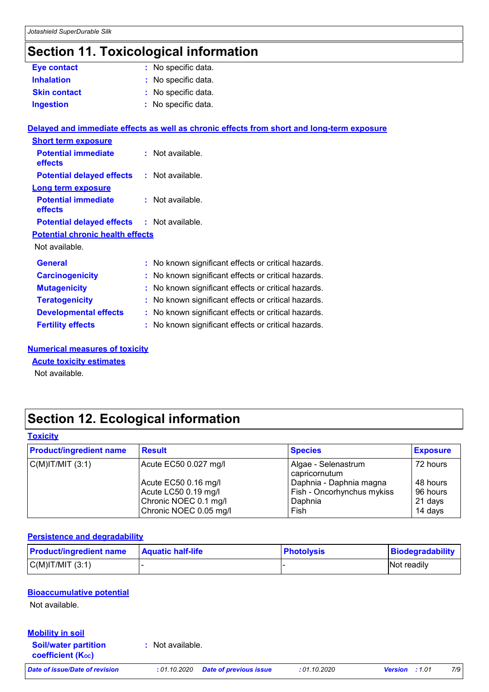# **Section 11. Toxicological information**

| Eye contact                             | : No specific data.                                                                        |  |
|-----------------------------------------|--------------------------------------------------------------------------------------------|--|
| <b>Inhalation</b>                       | : No specific data.                                                                        |  |
| <b>Skin contact</b>                     | : No specific data.                                                                        |  |
| <b>Ingestion</b>                        | : No specific data.                                                                        |  |
|                                         | Delayed and immediate effects as well as chronic effects from short and long-term exposure |  |
| <b>Short term exposure</b>              |                                                                                            |  |
| <b>Potential immediate</b><br>effects   | : Not available.                                                                           |  |
| <b>Potential delayed effects</b>        | : Not available.                                                                           |  |
| <b>Long term exposure</b>               |                                                                                            |  |
| <b>Potential immediate</b><br>effects   | : Not available.                                                                           |  |
| <b>Potential delayed effects</b>        | : Not available.                                                                           |  |
| <b>Potential chronic health effects</b> |                                                                                            |  |
| Not available.                          |                                                                                            |  |
| <b>General</b>                          | : No known significant effects or critical hazards.                                        |  |
| <b>Carcinogenicity</b>                  | : No known significant effects or critical hazards.                                        |  |
| <b>Mutagenicity</b>                     | : No known significant effects or critical hazards.                                        |  |
| <b>Teratogenicity</b>                   | : No known significant effects or critical hazards.                                        |  |
| <b>Developmental effects</b>            | : No known significant effects or critical hazards.                                        |  |
| <b>Fertility effects</b>                | : No known significant effects or critical hazards.                                        |  |

## **Numerical measures of toxicity**

#### **Acute toxicity estimates**

Not available.

# **Section 12. Ecological information**

### **Toxicity**

| <b>Product/ingredient name</b> | <b>Result</b>                                                                                   | <b>Species</b>                                                           | <b>Exposure</b>                            |
|--------------------------------|-------------------------------------------------------------------------------------------------|--------------------------------------------------------------------------|--------------------------------------------|
| $ C(M) T/MIT$ (3:1)            | Acute EC50 0.027 mg/l                                                                           | Algae - Selenastrum<br>capricornutum                                     | 72 hours                                   |
|                                | Acute EC50 0.16 mg/l<br>Acute LC50 0.19 mg/l<br>Chronic NOEC 0.1 mg/l<br>Chronic NOEC 0.05 mg/l | Daphnia - Daphnia magna<br>Fish - Oncorhynchus mykiss<br>Daphnia<br>Fish | 48 hours<br>96 hours<br>21 days<br>14 days |

#### **Persistence and degradability**

| <b>Product/ingredient name</b> | <b>Aquatic half-life</b> | <b>Photolysis</b> | Biodegradability |
|--------------------------------|--------------------------|-------------------|------------------|
| $C(M)$ IT/MIT $(3:1)$          |                          |                   | Not readily      |

## **Bioaccumulative potential**

Not available.

## **Soil/water partition Mobility in soil**

**coefficient (KOC)**

**:** Not available.

*Date of issue/Date of revision* **:** *01.10.2020 Date of previous issue : 01.10.2020 Version : 1.01 7/9*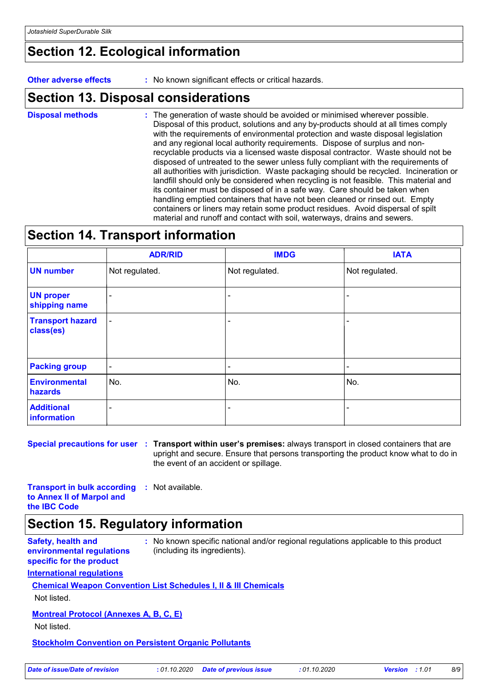## **Section 12. Ecological information**

**Other adverse effects :** No known significant effects or critical hazards.

## **Section 13. Disposal considerations**

The generation of waste should be avoided or minimised wherever possible. Disposal of this product, solutions and any by-products should at all times comply with the requirements of environmental protection and waste disposal legislation and any regional local authority requirements. Dispose of surplus and nonrecyclable products via a licensed waste disposal contractor. Waste should not be disposed of untreated to the sewer unless fully compliant with the requirements of all authorities with jurisdiction. Waste packaging should be recycled. Incineration or landfill should only be considered when recycling is not feasible. This material and its container must be disposed of in a safe way. Care should be taken when handling emptied containers that have not been cleaned or rinsed out. Empty containers or liners may retain some product residues. Avoid dispersal of spilt material and runoff and contact with soil, waterways, drains and sewers. **Disposal methods :**

# **Section 14. Transport information**

|                                      | <b>ADR/RID</b>           | <b>IMDG</b>    | <b>IATA</b>              |
|--------------------------------------|--------------------------|----------------|--------------------------|
| <b>UN number</b>                     | Not regulated.           | Not regulated. | Not regulated.           |
| <b>UN proper</b><br>shipping name    | $\overline{\phantom{a}}$ |                |                          |
| <b>Transport hazard</b><br>class(es) | $\blacksquare$           |                | $\overline{\phantom{0}}$ |
| <b>Packing group</b>                 | $\blacksquare$           | ٠              | $\blacksquare$           |
| <b>Environmental</b><br>hazards      | No.                      | No.            | No.                      |
| <b>Additional</b><br>information     | ۰                        | -              | -                        |

**Special precautions for user Transport within user's premises:** always transport in closed containers that are **:** upright and secure. Ensure that persons transporting the product know what to do in the event of an accident or spillage.

**Transport in bulk according :** Not available. **to Annex II of Marpol and the IBC Code**

# **Section 15. Regulatory information**

**Safety, health and environmental regulations specific for the product**

**:** No known specific national and/or regional regulations applicable to this product (including its ingredients).

## **International regulations**

## **Chemical Weapon Convention List Schedules I, II & III Chemicals**

Not listed.

## **Montreal Protocol (Annexes A, B, C, E)**

Not listed.

#### **Stockholm Convention on Persistent Organic Pollutants**